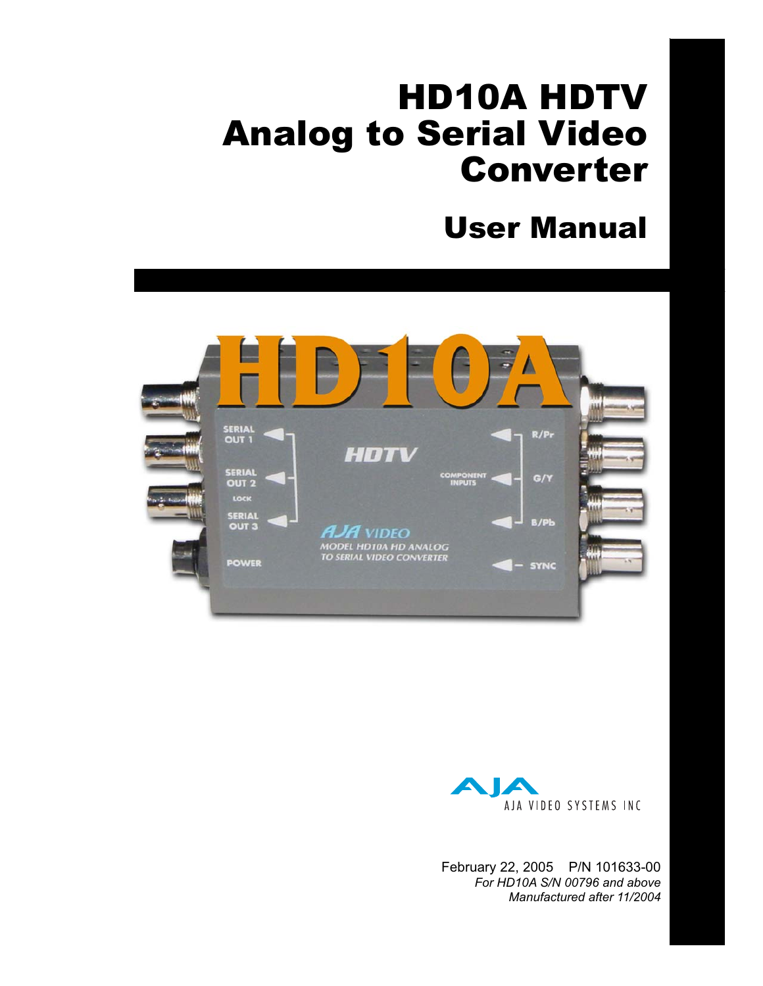# HD10A HDTV Analog to Serial Video Converter

## User Manual





February 22, 2005 P/N 101633-00 *For HD10A S/N 00796 and above Manufactured after 11/2004*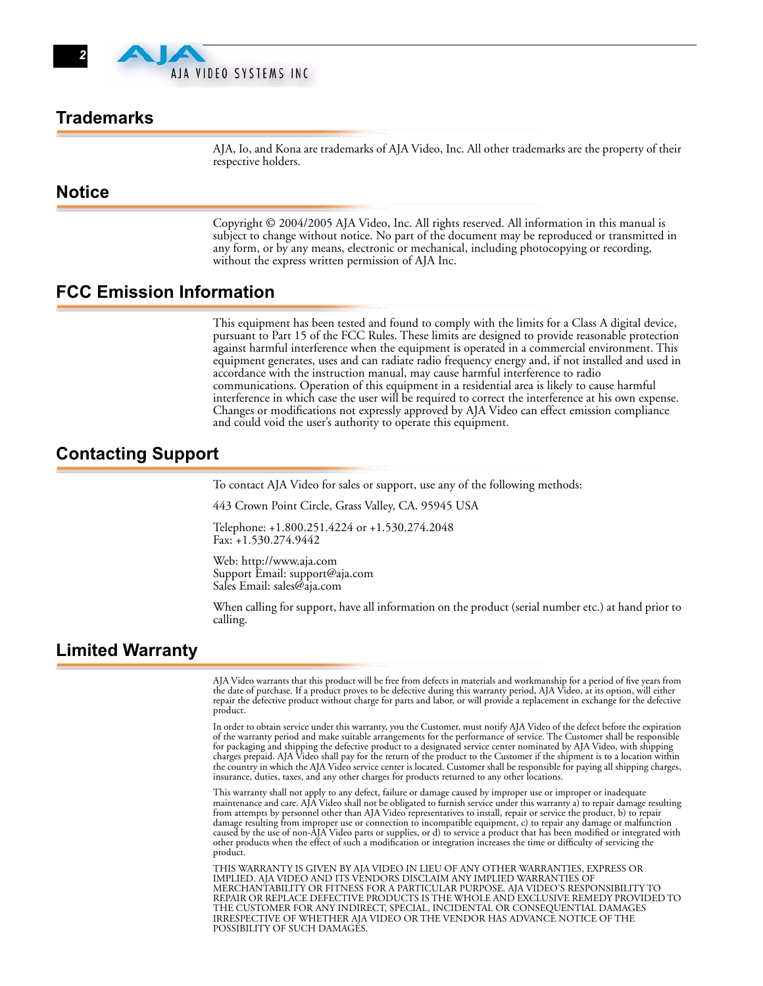

## **Trademarks**

AJA, Io, and Kona are trademarks of AJA Video, Inc. All other trademarks are the property of their respective holders.

## **Notice**

Copyright © 2004/2005 AJA Video, Inc. All rights reserved. All information in this manual is subject to change without notice. No part of the document may be reproduced or transmitted in any form, or by any means, electronic or mechanical, including photocopying or recording, without the express written permission of AJA Inc.

#### **FCC Emission Information**

This equipment has been tested and found to comply with the limits for a Class A digital device, pursuant to Part 15 of the FCC Rules. These limits are designed to provide reasonable protection against harmful interference when the equipment is operated in a commercial environment. This equipment generates, uses and can radiate radio frequency energy and, if not installed and used in accordance with the instruction manual, may cause harmful interference to radio communications. Operation of this equipment in a residential area is likely to cause harmful interference in which case the user will be required to correct the interference at his own expense. Changes or modifications not expressly approved by AJA Video can effect emission compliance and could void the user's authority to operate this equipment.

## **Contacting Support**

To contact AJA Video for sales or support, use any of the following methods:

443 Crown Point Circle, Grass Valley, CA. 95945 USA

Telephone: +1.800.251.4224 or +1.530.274.2048 Fax: +1.530.274.9442

Web: http://www.aja.com Support Email: support@aja.com Sales Email: sales@aja.com

When calling for support, have all information on the product (serial number etc.) at hand prior to calling.

## **Limited Warranty**

AJA Video warrants that this product will be free from defects in materials and workmanship for a period of five years from the date of purchase. If a product proves to be defective during this warranty period, AJA Video, at its option, will either repair the defective product without charge for parts and labor, or will provide a replacement in exchange for the defective product.

In order to obtain service under this warranty, you the Customer, must notify AJA Video of the defect before the expiration of the warranty period and make suitable arrangements for the performance of service. The Customer shall be responsible for packaging and shipping the defective product to a designated service center nominated by AJA Video, with shipping charges prepaid. AJA Video shall pay for the return of the product to the Customer if the shipment is to a location within the country in which the AJA Video service center is located. Customer shall be responsible for paying all shipping charges, insurance, duties, taxes, and any other charges for products returned to any other locations.

This warranty shall not apply to any defect, failure or damage caused by improper use or improper or inadequate maintenance and care. AJA Video shall not be obligated to furnish service under this warranty a) to repair damage resulting from attempts by personnel other than AJA Video representatives to install, repair or service the product, b) to repair<br>damage resulting from improper use or connection to incompatible equipment, c) to repair any damage or other products when the effect of such a modification or integration increases the time or difficulty of servicing the product.

THIS WARRANTY IS GIVEN BY AJA VIDEO IN LIEU OF ANY OTHER WARRANTIES, EXPRESS OR IMPLIED. AJA VIDEO AND ITS VENDORS DISCLAIM ANY IMPLIED WARRANTIES OF MERCHANTABILITY OR FITNESS FOR A PARTICULAR PURPOSE. AJA VIDEO'S RESPONSIBILITY TO REPAIR OR REPLACE DEFECTIVE PRODUCTS IS THE WHOLE AND EXCLUSIVE REMEDY PROVIDED TO THE CUSTOMER FOR ANY INDIRECT, SPECIAL, INCIDENTAL OR CONSEQUENTIAL DAMAGES IRRESPECTIVE OF WHETHER AJA VIDEO OR THE VENDOR HAS ADVANCE NOTICE OF THE POSSIBILITY OF SUCH DAMAGES.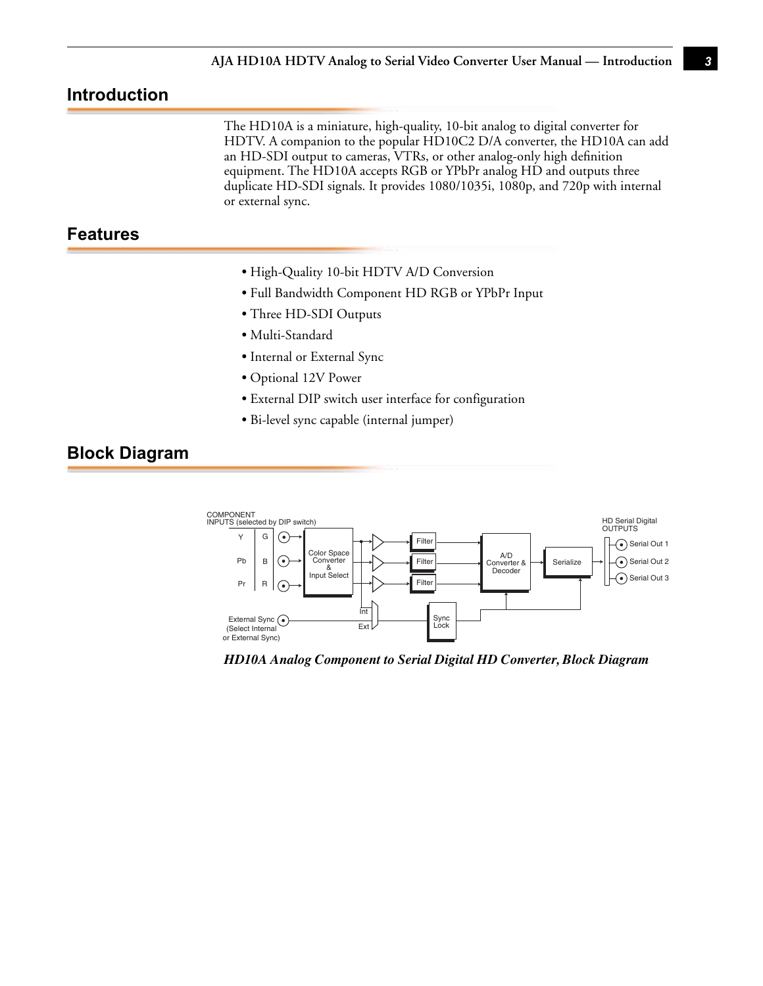## **Introduction**

The HD10A is a miniature, high-quality, 10-bit analog to digital converter for HDTV. A companion to the popular HD10C2 D/A converter, the HD10A can add an HD-SDI output to cameras, VTRs, or other analog-only high definition equipment. The HD10A accepts RGB or YPbPr analog HD and outputs three duplicate HD-SDI signals. It provides 1080/1035i, 1080p, and 720p with internal or external sync.

## **Features**

- High-Quality 10-bit HDTV A/D Conversion
- Full Bandwidth Component HD RGB or YPbPr Input
- Three HD-SDI Outputs
- Multi-Standard
- Internal or External Sync
- Optional 12V Power
- External DIP switch user interface for configuration
- Bi-level sync capable (internal jumper)

#### **Block Diagram**



*HD10A Analog Component to Serial Digital HD Converter, Block Diagram*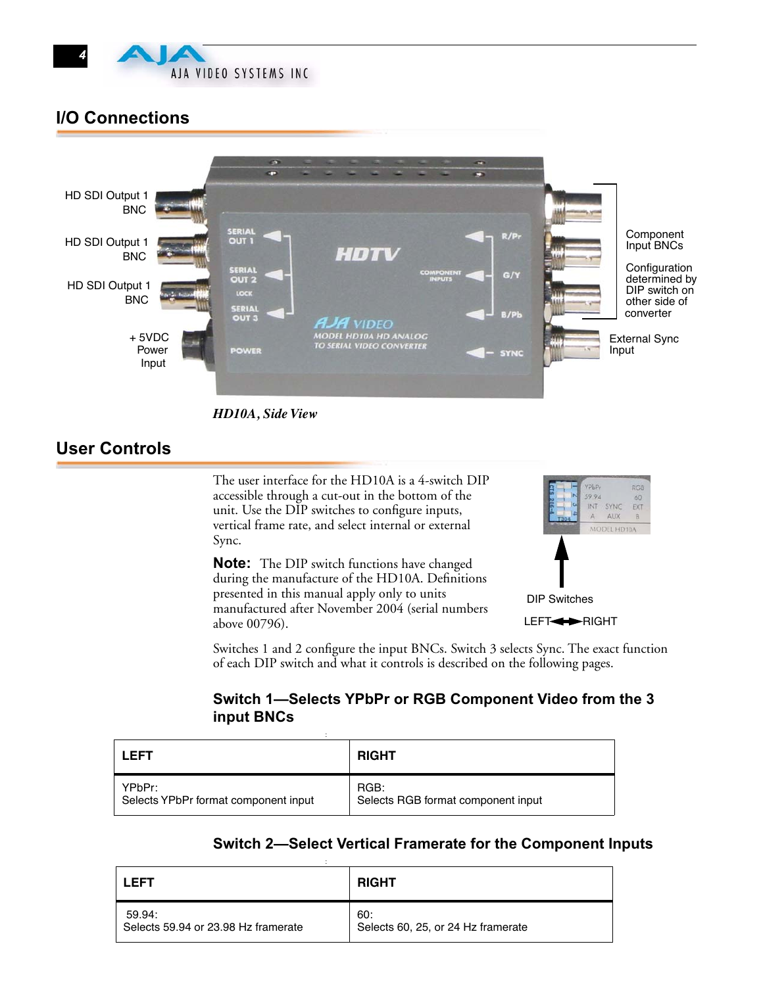

## **I/O Connections**



*HD10A, Side View*

## **User Controls**

The user interface for the HD10A is a 4-switch DIP accessible through a cut-out in the bottom of the unit. Use the DIP switches to configure inputs, vertical frame rate, and select internal or external Sync.

**Note:** The DIP switch functions have changed during the manufacture of the HD10A. Definitions presented in this manual apply only to units manufactured after November 2004 (serial numbers above 00796).



LEFT<**>>RIGHT** 

Switches 1 and 2 configure the input BNCs. Switch 3 selects Sync. The exact function of each DIP switch and what it controls is described on the following pages.

#### **Switch 1—Selects YPbPr or RGB Component Video from the 3 input BNCs**

| I FFT                                          | <b>RIGHT</b>                               |
|------------------------------------------------|--------------------------------------------|
| YPbPr:<br>Selects YPbPr format component input | RGB:<br>Selects RGB format component input |

#### **Switch 2—Select Vertical Framerate for the Component Inputs**

| I FFT                               | <b>RIGHT</b>                       |
|-------------------------------------|------------------------------------|
| 59.94:                              | 60:                                |
| Selects 59.94 or 23.98 Hz framerate | Selects 60, 25, or 24 Hz framerate |

: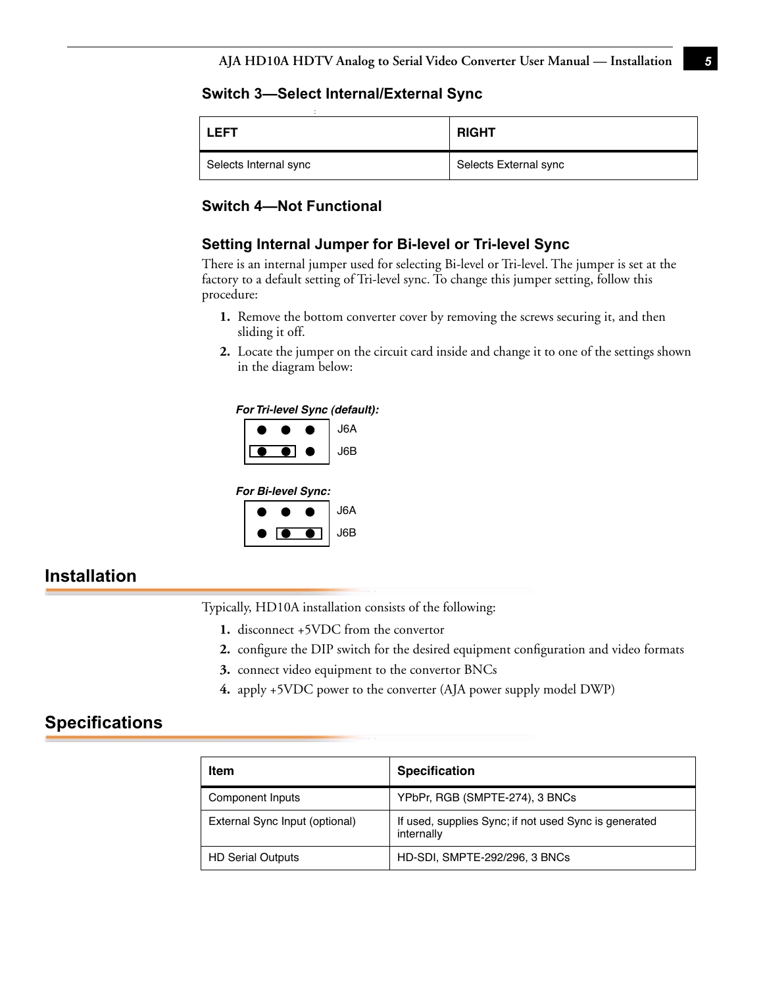#### **Switch 3—Select Internal/External Sync**

| <b>LEFT</b>           | <b>RIGHT</b>          |
|-----------------------|-----------------------|
| Selects Internal sync | Selects External sync |

## **Switch 4—Not Functional**

#### **Setting Internal Jumper for Bi-level or Tri-level Sync**

**1** factory to a default setting of Tri-level sync. To change this jumper setting, follow this There is an internal jumper used for selecting Bi-level or Tri-level. The jumper is set at the procedure:

- **1.** Remove the bottom converter cover by removing the screws securing it, and then sliding it off.
- **2.** Locate the jumper on the circuit card inside and change it to one of the settings shown in the diagram below:

#### *For Tri-level Sync (default):*



| For Bi-level Sync: |  |  |     |
|--------------------|--|--|-----|
|                    |  |  | J6A |
|                    |  |  | J6B |

## **Installation**

Typically, HD10A installation consists of the following:

- **1.** disconnect +5VDC from the convertor
- **2.** configure the DIP switch for the desired equipment configuration and video formats
- **3.** connect video equipment to the convertor BNCs
- **4.** apply +5VDC power to the converter (AJA power supply model DWP)

## **Specifications**

| Item                           | <b>Specification</b>                                                |
|--------------------------------|---------------------------------------------------------------------|
| Component Inputs               | YPbPr, RGB (SMPTE-274), 3 BNCs                                      |
| External Sync Input (optional) | If used, supplies Sync; if not used Sync is generated<br>internally |
| <b>HD Serial Outputs</b>       | <b>HD-SDI, SMPTE-292/296, 3 BNCs</b>                                |